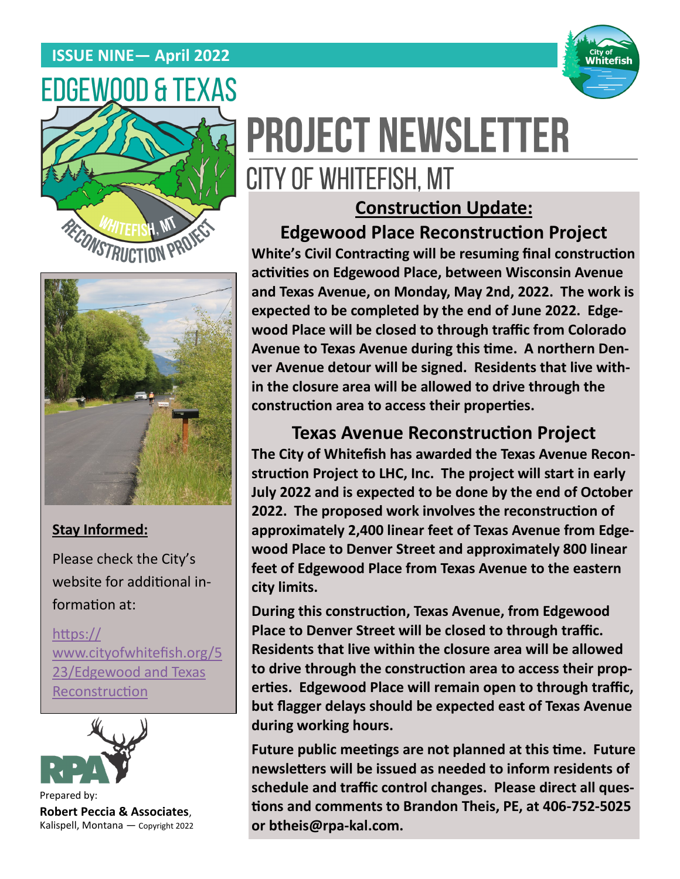#### **ISSUE NINE— April 2022**







#### **Stay Informed:**

Please check the City's website for additional information at:

[https://](https://www.cityofwhitefish.org/523/Edgewood%20and%20Texas%20Reconstruction) [www.cityofwhitefish.org/5](https://www.cityofwhitefish.org/523/Edgewood%20and%20Texas%20Reconstruction) [23/Edgewood and Texas](https://www.cityofwhitefish.org/523/Edgewood%20and%20Texas%20Reconstruction)  [Reconstruction](https://www.cityofwhitefish.org/523/Edgewood%20and%20Texas%20Reconstruction)



Prepared by: **Robert Peccia & Associates**, Kalispell, Montana — Copyright 2022

# **PROJECT NEWSLETTER** CITY OF WHITEFISH, MT

## **Construction Update:**

## **Edgewood Place Reconstruction Project**

**White's Civil Contracting will be resuming final construction activities on Edgewood Place, between Wisconsin Avenue and Texas Avenue, on Monday, May 2nd, 2022. The work is expected to be completed by the end of June 2022. Edgewood Place will be closed to through traffic from Colorado Avenue to Texas Avenue during this time. A northern Denver Avenue detour will be signed. Residents that live within the closure area will be allowed to drive through the construction area to access their properties.** 

#### **Texas Avenue Reconstruction Project**

**The City of Whitefish has awarded the Texas Avenue Reconstruction Project to LHC, Inc. The project will start in early July 2022 and is expected to be done by the end of October 2022. The proposed work involves the reconstruction of approximately 2,400 linear feet of Texas Avenue from Edgewood Place to Denver Street and approximately 800 linear feet of Edgewood Place from Texas Avenue to the eastern city limits.** 

**During this construction, Texas Avenue, from Edgewood Place to Denver Street will be closed to through traffic. Residents that live within the closure area will be allowed to drive through the construction area to access their properties. Edgewood Place will remain open to through traffic, but flagger delays should be expected east of Texas Avenue during working hours.**

**Future public meetings are not planned at this time. Future newsletters will be issued as needed to inform residents of schedule and traffic control changes. Please direct all questions and comments to Brandon Theis, PE, at 406-752-5025 or btheis@rpa-kal.com.**